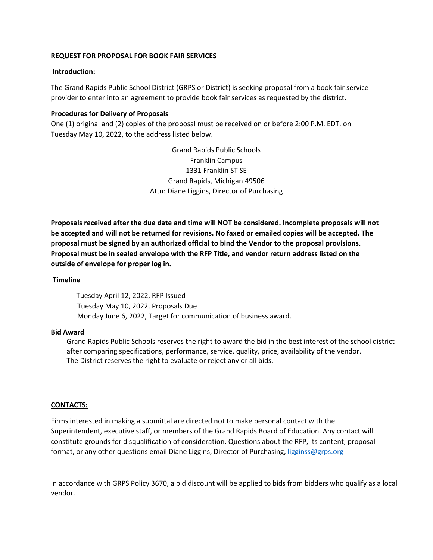## **REQUEST FOR PROPOSAL FOR BOOK FAIR SERVICES**

### **Introduction:**

 The Grand Rapids Public School District (GRPS or District) is seeking proposal from a book fair service provider to enter into an agreement to provide book fair services as requested by the district.

## **Procedures for Delivery of Proposals**

 One (1) original and (2) copies of the proposal must be received on or before 2:00 P.M. EDT. on Tuesday May 10, 2022, to the address listed below.

> Grand Rapids Public Schools Franklin Campus 1331 Franklin ST SE Grand Rapids, Michigan 49506 Attn: Diane Liggins, Director of Purchasing

Proposals received after the due date and time will NOT be considered. Incomplete proposals will not be accepted and will not be returned for revisions. No faxed or emailed copies will be accepted. The proposal must be signed by an authorized official to bind the Vendor to the proposal provisions. Proposal must be in sealed envelope with the RFP Title, and vendor return address listed on the  **outside of envelope for proper log in.**

### **Timeline**

 Tuesday April 12, 2022, RFP Issued Tuesday May 10, 2022, Proposals Due Monday June 6, 2022, Target for communication of business award.

#### **Bid Award**

 Grand Rapids Public Schools reserves the right to award the bid in the best interest of the school district after comparing specifications, performance, service, quality, price, availability of the vendor. The District reserves the right to evaluate or reject any or all bids.

### **CONTACTS:**

 Firms interested in making a submittal are directed not to make personal contact with the Superintendent, executive staff, or members of the Grand Rapids Board of Education. Any contact will constitute grounds for disqualification of consideration. Questions about the RFP, its content, proposal format, or any other questions email Diane Liggins, Director of Purchasing, [ligginss@grps.org](mailto:ligginss@grps.org)

 In accordance with GRPS Policy 3670, a bid discount will be applied to bids from bidders who qualify as a local vendor.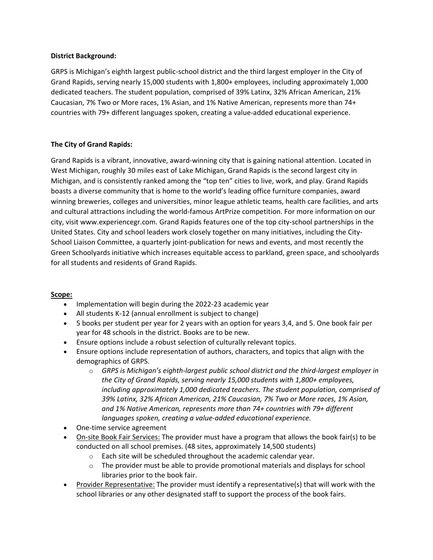# **District Background:**

 GRPS is Michigan's eighth largest public‐school district and the third largest employer in the City of Grand Rapids, serving nearly 15,000 students with 1,800+ employees, including approximately 1,000 dedicated teachers. The student population, comprised of 39% Latinx, 32% African American, 21% Caucasian, 7% Two or More races, 1% Asian, and 1% Native American, represents more than 74+ countries with 79+ different languages spoken, creating a value‐added educational experience.

# **The City of Grand Rapids:**

 Grand Rapids is a vibrant, innovative, award‐winning city that is gaining national attention. Located in West Michigan, roughly 30 miles east of Lake Michigan, Grand Rapids is the second largest city in Michigan, and is consistently ranked among the "top ten" cities to live, work, and play. Grand Rapids boasts a diverse community that is home to the world's leading office furniture companies, award winning breweries, colleges and universities, minor league athletic teams, health care facilities, and arts and cultural attractions including the world‐famous ArtPrize competition. For more information on our city, visit <www.experiencegr.com>. Grand Rapids features one of the top city‐school partnerships in the United States. City and school leaders work closely together on many initiatives, including the City‐ School Liaison Committee, a quarterly joint‐publication for news and events, and most recently the Green Schoolyards initiative which increases equitable access to parkland, green space, and schoolyards for all students and residents of Grand Rapids.

### **Scope:**

- Implementation will begin during the 2022‐23 academic year
- All students K-12 (annual enrollment is subject to change)
- 5 books per student per year for 2 years with an option for years 3,4, and 5. One book fair per year for 48 schools in the district. Books are to be new.
- Ensure options include a robust selection of culturally relevant topics.
- Ensure options include representation of authors, characters, and topics that align with the demographics of GRPS.
	- $\circ$  GRPS is Michigan's eighth-largest public school district and the third-largest employer in  *the City of Grand Rapids, serving nearly 15,000 students with 1,800+ employees, including approximately 1,000 dedicated teachers. The student population, comprised of 39% Latinx, 32% African American, 21% Caucasian, 7% Two or More races, 1% Asian, and 1% Native American, represents more than 74+ countries with 79+ different languages spoken, creating a value‐added educational experience.*
- One-time service agreement
- On-site Book Fair Services: The provider must have a program that allows the book fair(s) to be conducted on all school premises. (48 sites, approximately 14,500 students)
	- $\circ$  Each site will be scheduled throughout the academic calendar year.
	- $\circ$  The provider must be able to provide promotional materials and displays for school libraries prior to the book fair.
- Provider Representative: The provider must identify a representative(s) that will work with the school libraries or any other designated staff to support the process of the book fairs.